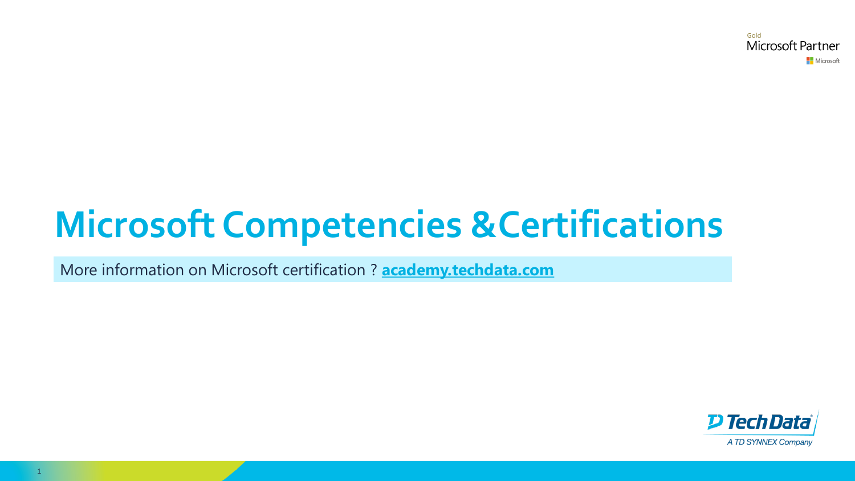Gold **Microsoft Partner Nicrosoft** 

# **Microsoft Competencies &Certifications**

More information on Microsoft certification ? **[academy.techdata.com](https://academy.techdata.com/site/common/files/europe/microsoft.html)** 

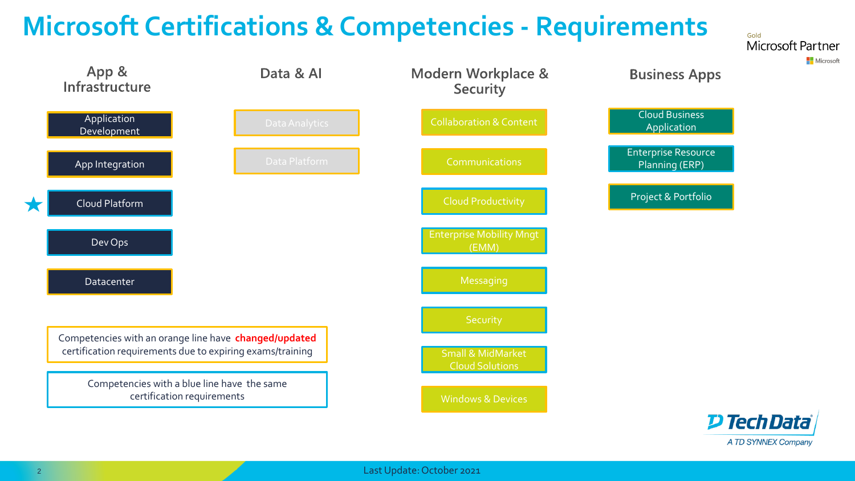### **Microsoft Certifications & Competencies - Requirements**



Gold

Microsoft Partner

Microsoft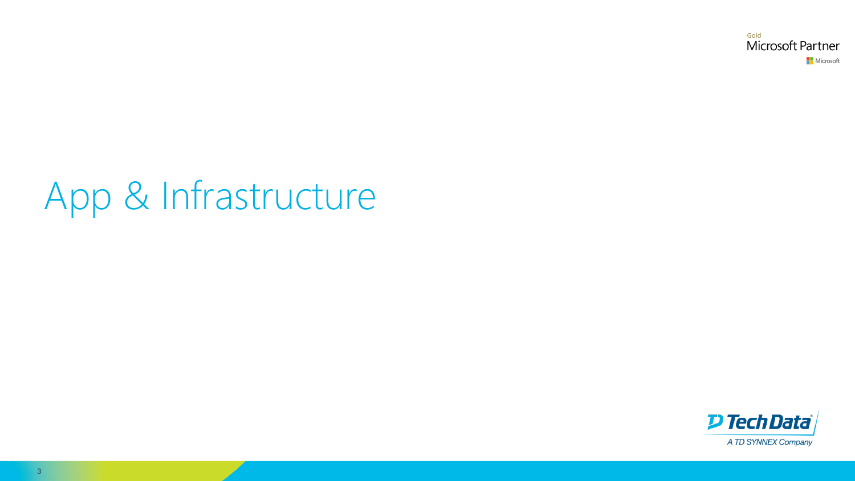Gold Microsoft Partner Microsoft

# App & Infrastructure

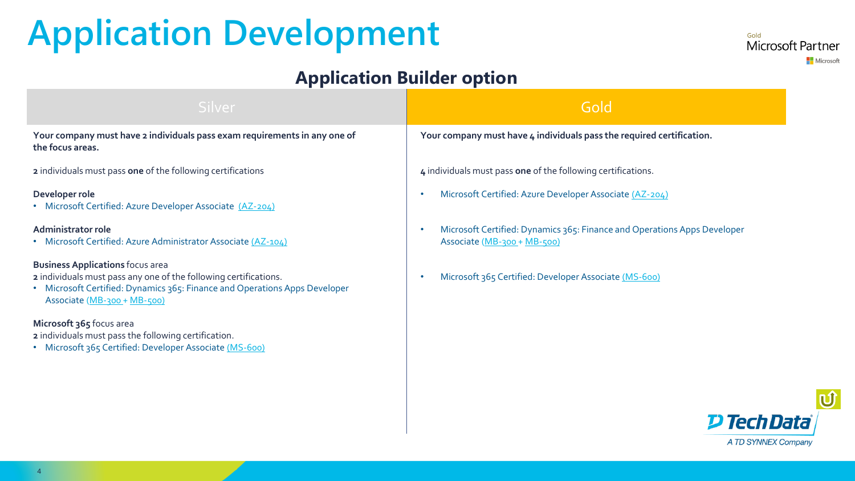## <span id="page-3-0"></span>**Application Development**

#### Gold Microsoft Partner Microsoft

### **Application Builder option**

| Silver                                                                                                                                                                                                                 | Gold                                                                                                  |
|------------------------------------------------------------------------------------------------------------------------------------------------------------------------------------------------------------------------|-------------------------------------------------------------------------------------------------------|
| Your company must have 2 individuals pass exam requirements in any one of<br>the focus areas.                                                                                                                          | Your company must have 4 individuals pass the required certification.                                 |
| 2 individuals must pass one of the following certifications                                                                                                                                                            | 4 individuals must pass one of the following certifications.                                          |
| Developer role<br>• Microsoft Certified: Azure Developer Associate (AZ-204)                                                                                                                                            | Microsoft Certified: Azure Developer Associate (AZ-204)                                               |
| Administrator role<br>• Microsoft Certified: Azure Administrator Associate (AZ-104)                                                                                                                                    | Microsoft Certified: Dynamics 365: Finance and Operations Apps Developer<br>Associate (MB-300+MB-500) |
| <b>Business Applications focus area</b><br>2 individuals must pass any one of the following certifications.<br>• Microsoft Certified: Dynamics 365: Finance and Operations Apps Developer<br>Associate (MB-300+MB-500) | Microsoft 365 Certified: Developer Associate (MS-600)                                                 |
| Microsoft 365 focus area<br>2 individuals must pass the following certification.<br>• Microsoft 365 Certified: Developer Associate (MS-600)                                                                            |                                                                                                       |

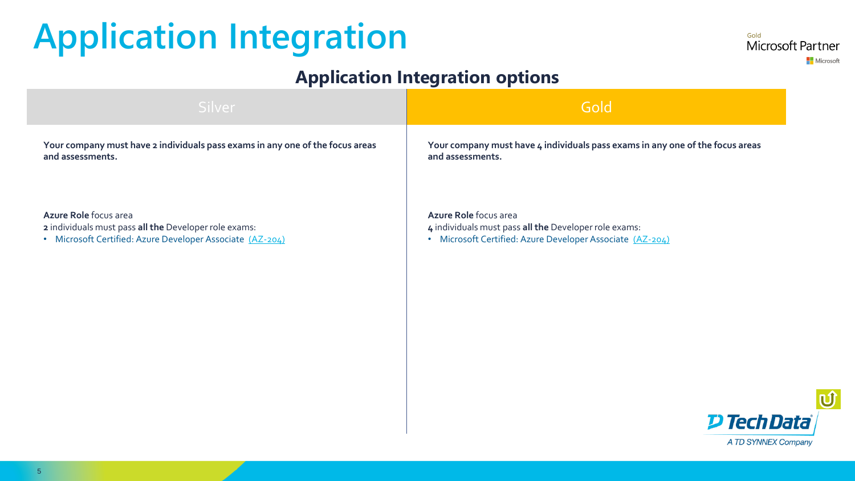## <span id="page-4-0"></span>**Application Integration**

### **Application Integration options**

**Your company must have 2 individuals pass exams in any one of the focus areas and assessments. Azure Role** focus area **2** individuals must pass **all the** Developer role exams: • Microsoft Certified: Azure Developer Associate [\(AZ-204\)](https://academy.techdata.com/uk/european-schedule?title=Developing%20solutions%20for%20Microsoft%20Azure%20(AZ-204T00-A)%20) **Your company must have 4 individuals pass exams in any one of the focus areas and assessments. Azure Role** focus area **4** individuals must pass **all the** Developer role exams: • Microsoft Certified: Azure Developer Associate [\(AZ-204\)](https://academy.techdata.com/uk/european-schedule?title=Developing%20solutions%20for%20Microsoft%20Azure%20(AZ-204T00-A)%20) Silver Gold <mark>in the second control in the second control in the second control in the Gold</mark>



Gold

Microsoft Partner

Microsoft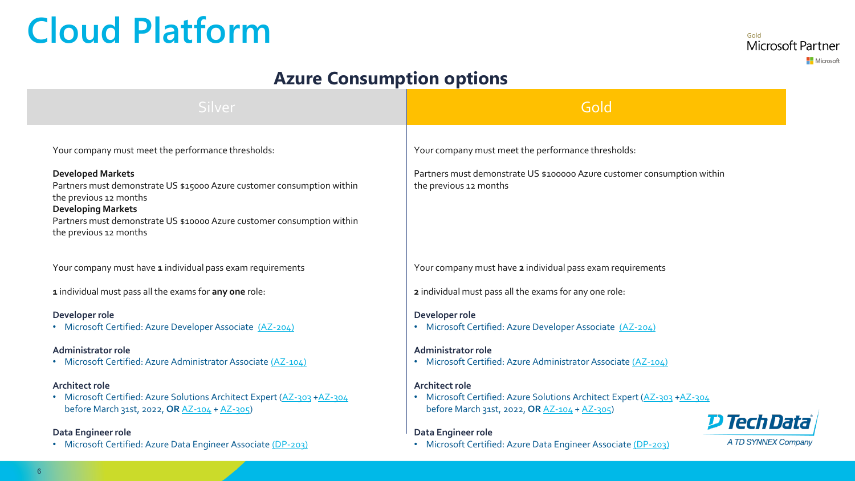### <span id="page-5-0"></span>**Cloud Platform**

Gold Microsoft Partner Microsoft

### **Azure Consumption options**

| Silver                                                                                                                                           | Gold                                                                                                                                             |
|--------------------------------------------------------------------------------------------------------------------------------------------------|--------------------------------------------------------------------------------------------------------------------------------------------------|
| Your company must meet the performance thresholds:                                                                                               | Your company must meet the performance thresholds:                                                                                               |
| <b>Developed Markets</b>                                                                                                                         | Partners must demonstrate US \$100000 Azure customer consumption within                                                                          |
| Partners must demonstrate US \$15000 Azure customer consumption within<br>the previous 12 months<br><b>Developing Markets</b>                    | the previous 12 months                                                                                                                           |
| Partners must demonstrate US \$10000 Azure customer consumption within<br>the previous 12 months                                                 |                                                                                                                                                  |
| Your company must have 1 individual pass exam requirements                                                                                       | Your company must have 2 individual pass exam requirements                                                                                       |
| 1 individual must pass all the exams for any one role:                                                                                           | 2 individual must pass all the exams for any one role:                                                                                           |
| Developer role<br>• Microsoft Certified: Azure Developer Associate (AZ-204)                                                                      | Developer role<br>• Microsoft Certified: Azure Developer Associate (AZ-204)                                                                      |
| Administrator role<br>• Microsoft Certified: Azure Administrator Associate (AZ-104)                                                              | <b>Administrator role</b><br>• Microsoft Certified: Azure Administrator Associate (AZ-104)                                                       |
| <b>Architect role</b><br>• Microsoft Certified: Azure Solutions Architect Expert (AZ-303 +AZ-304<br>before March 31st, 2022, OR AZ-104 + AZ-305) | <b>Architect role</b><br>• Microsoft Certified: Azure Solutions Architect Expert (AZ-303 +AZ-304<br>before March 31st, 2022, OR AZ-104 + AZ-305) |
| Data Engineer role                                                                                                                               | <b>D Tech Data</b><br>Data Engineer role                                                                                                         |
| • Microsoft Certified: Azure Data Engineer Associate (DP-203)                                                                                    | A TD SYNNEX Company<br>• Microsoft Certified: Azure Data Engineer Associate (DP-203)                                                             |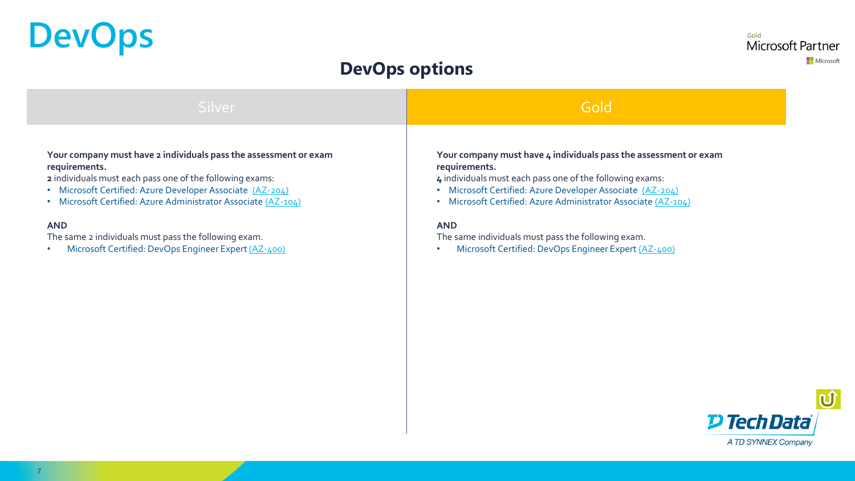## <span id="page-6-0"></span>**DevOps**

<sub>Gold</sub><br>Microsoft Partner Microsoft

### **DevOps options**

| Silver                                                           | Gold                                                             |
|------------------------------------------------------------------|------------------------------------------------------------------|
| Your company must have 2 individuals pass the assessment or exam | Your company must have 4 individuals pass the assessment or exam |
| requirements.                                                    | requirements.                                                    |
| 2 individuals must each pass one of the following exams:         | 4 individuals must each pass one of the following exams:         |
| • Microsoft Certified: Azure Developer Associate (AZ-204)        | Microsoft Certified: Azure Developer Associate (AZ-204)          |
| Microsoft Certified: Azure Administrator Associate (AZ-104)      | ۰                                                                |
| $\bullet$                                                        | Microsoft Certified: Azure Administrator Associate (AZ-104)      |
| <b>AND</b>                                                       | <b>AND</b>                                                       |
| The same 2 individuals must pass the following exam.             | The same individuals must pass the following exam.               |
| Microsoft Certified: DevOps Engineer Expert (AZ-400)             | Microsoft Certified: DevOps Engineer Expert (AZ-400)             |
| $\bullet$                                                        | $\bullet$                                                        |

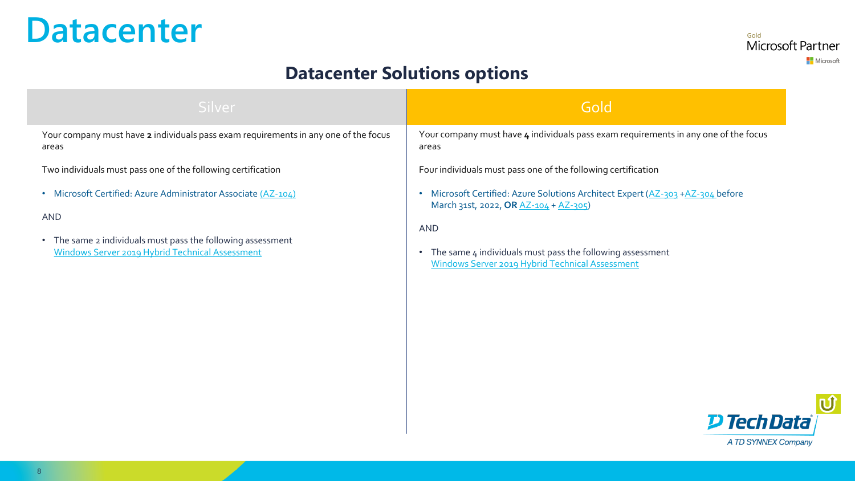### <span id="page-7-0"></span>**Datacenter**

Gold Microsoft Partner Microsoft

### **Datacenter Solutions options**

| <b>Silver</b>                                                                       | Gold                                                                                |
|-------------------------------------------------------------------------------------|-------------------------------------------------------------------------------------|
| Your company must have 2 individuals pass exam requirements in any one of the focus | Your company must have 4 individuals pass exam requirements in any one of the focus |
| areas                                                                               | areas                                                                               |
| Two individuals must pass one of the following certification                        | Four individuals must pass one of the following certification                       |
| Microsoft Certified: Azure Administrator Associate (AZ-104)                         | • Microsoft Certified: Azure Solutions Architect Expert (AZ-303 +AZ-304 before      |
| $\bullet$                                                                           | March 31st, 2022, OR AZ-104 + AZ-305)                                               |
| <b>AND</b>                                                                          | <b>AND</b>                                                                          |
| • The same 2 individuals must pass the following assessment                         | The same 4 individuals must pass the following assessment                           |
| Windows Server 2019 Hybrid Technical Assessment                                     | Windows Server 2019 Hybrid Technical Assessment                                     |

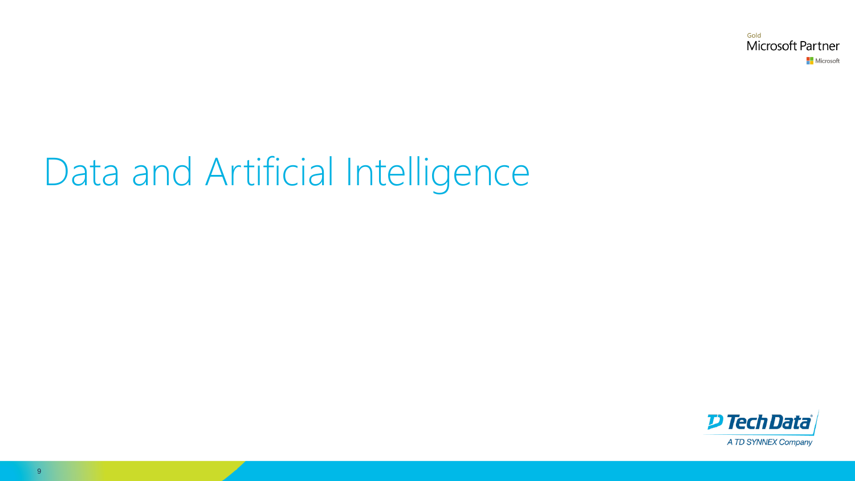Gold Microsoft Partner Microsoft

## Data and Artificial Intelligence

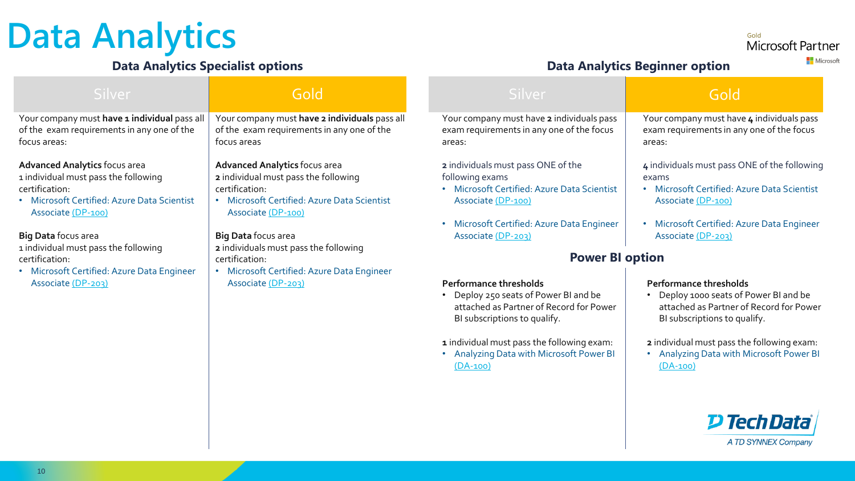### <span id="page-9-0"></span>**Data Analytics**

#### **Data Analytics Specialist options Data Analytics Beginner option**

Microsoft Partner **Nicrosoft** 

Gold

#### Your company must have 1 individual pass all of the exam requirements in any one of the focus areas: **Advanced Analytics** focus area 1 individual must pass the following certification: • Microsoft Certified: Azure Data Scientist Associate [\(DP-100\)](https://academy.techdata.com/uk/european-schedule#?title=DP-100) **Big Data** focus area 1 individual must pass the following certification: • Microsoft Certified: Azure Data Engineer Associate [\(DP-203\)](https://academy.techdata.com/uk/european-schedule#?title=DP-203) Your company must have **2** individuals pass exam requirements in any one of the focus areas: **2** individuals must pass ONE of the following exams • Microsoft Certified: Azure Data Scientist Associate [\(DP-100\)](https://academy.techdata.com/uk/european-schedule#?title=DP-100) • Microsoft Certified: Azure Data Engineer Associate [\(DP-203\)](https://academy.techdata.com/uk/european-schedule#?title=DP-203) **Performance thresholds** Associate [\(DP-203\)](https://academy.techdata.com/uk/european-schedule#?title=DP-203) **Performance thresholds** • Deploy 250 seats of Power BI and be attached as Partner of Record for Power BI subscriptions to qualify. **1** individual must pass the following exam: • Analyzing Data with Microsoft Power BI [\(DA-100\)](https://academy.techdata.com/uk/european-schedule#?title=DA-100) Your company must **have 2 individuals** pass all of the exam requirements in any one of the focus areas **Advanced Analytics** focus area **2** individual must pass the following certification: • Microsoft Certified: Azure Data Scientist Associate [\(DP-100\)](https://academy.techdata.com/uk/european-schedule#?title=DP-100) **Big Data** focus area **2** individuals must pass the following certification: • Microsoft Certified: Azure Data Engineer • Deploy 1000 seats of Power BI and be attached as Partner of Record for Power BI subscriptions to qualify. **2** individual must pass the following exam: • Analyzing Data with Microsoft Power BI [\(DA-100\)](https://academy.techdata.com/uk/european-schedule#?title=DA-100) Your company must have **4** individuals pass exam requirements in any one of the focus areas: **4** individuals must pass ONE of the following exams • Microsoft Certified: Azure Data Scientist Associate [\(DP-100\)](https://academy.techdata.com/uk/european-schedule#?title=DP-100) • Microsoft Certified: Azure Data Engineer Associate [\(DP-203\)](https://academy.techdata.com/uk/european-schedule#?title=DP-203) Silver Silver <mark>(</mark>Silver Gold Silver Silver Silver Silver Silver Silver Silver Silver Silver Silver Silver Silver **Power BI option** Gold

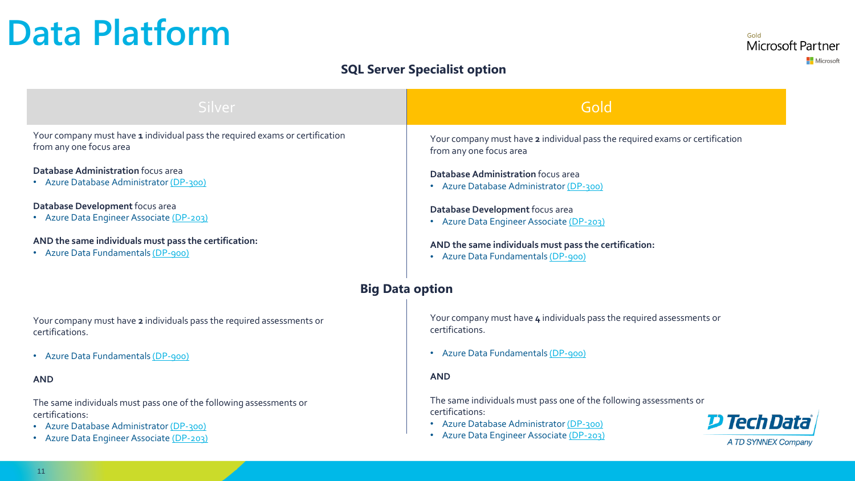### <span id="page-10-0"></span>**Data Platform**

Gold Microsoft Partner Microsoft

#### **SQL Server Specialist option**

| Silver                                                                                                                           | Gold                                                                                                                                                   |
|----------------------------------------------------------------------------------------------------------------------------------|--------------------------------------------------------------------------------------------------------------------------------------------------------|
| Your company must have 1 individual pass the required exams or certification<br>from any one focus area                          | Your company must have 2 individual pass the required exams or certification<br>from any one focus area                                                |
| <b>Database Administration focus area</b><br>• Azure Database Administrator (DP-300)                                             | Database Administration focus area<br>• Azure Database Administrator (DP-300)                                                                          |
| Database Development focus area<br>• Azure Data Engineer Associate (DP-203)                                                      | Database Development focus area<br>• Azure Data Engineer Associate (DP-203)                                                                            |
| AND the same individuals must pass the certification:<br>• Azure Data Fundamentals (DP-900)                                      | AND the same individuals must pass the certification:<br>• Azure Data Fundamentals (DP-900)                                                            |
|                                                                                                                                  | <b>Big Data option</b>                                                                                                                                 |
| Your company must have 2 individuals pass the required assessments or<br>certifications.                                         | Your company must have 4 individuals pass the required assessments or<br>certifications.                                                               |
| • Azure Data Fundamentals (DP-900)                                                                                               | • Azure Data Fundamentals (DP-900)                                                                                                                     |
| <b>AND</b>                                                                                                                       | <b>AND</b>                                                                                                                                             |
| The same individuals must pass one of the following assessments or<br>certifications:<br>• Azure Database Administrator (DP-300) | The same individuals must pass one of the following assessments or<br>certifications:<br><b>D Tech Data</b><br>• Azure Database Administrator (DP-300) |
| • Azure Data Engineer Associate (DP-203)                                                                                         | Azure Data Engineer Associate (DP-203)<br>A TD SYNNEX Company                                                                                          |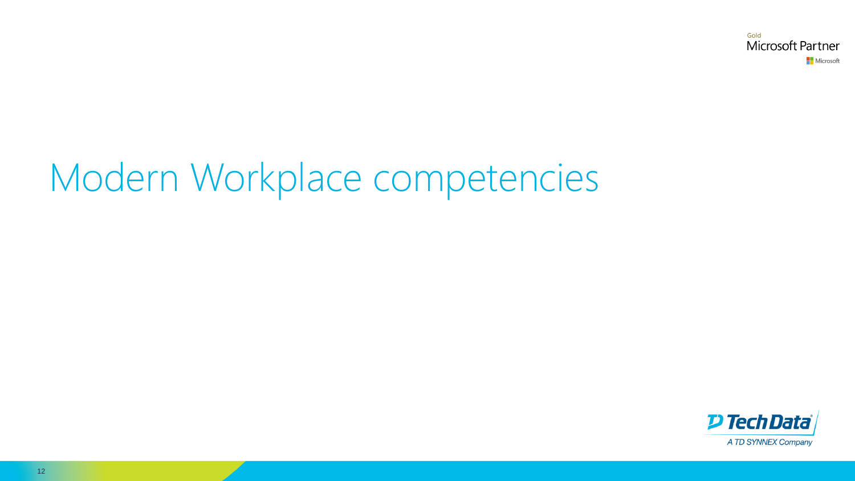Gold Microsoft Partner Microsoft

# Modern Workplace competencies

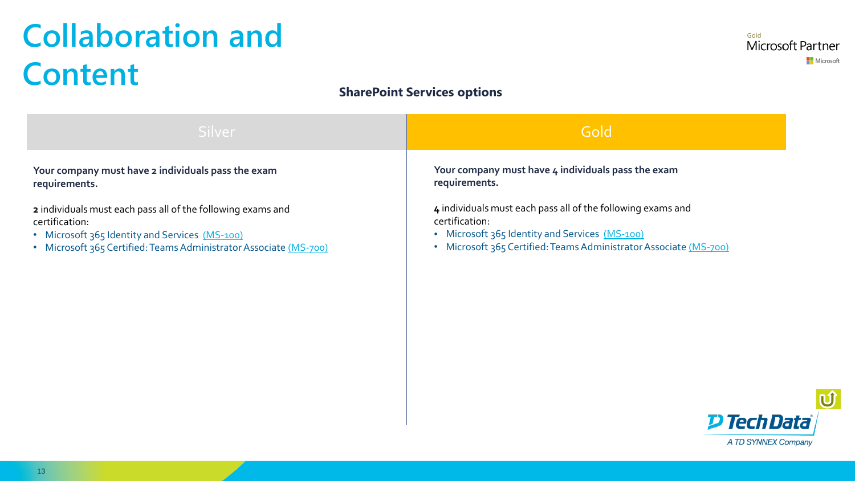### <span id="page-12-0"></span>**Collaboration and Content**

#### **SharePoint Services options**

| Silver                                                            | Gold                                                              |
|-------------------------------------------------------------------|-------------------------------------------------------------------|
| Your company must have 2 individuals pass the exam                | Your company must have 4 individuals pass the exam                |
| requirements.                                                     | requirements.                                                     |
| 2 individuals must each pass all of the following exams and       | 4 individuals must each pass all of the following exams and       |
| certification:                                                    | certification:                                                    |
| • Microsoft 365 Identity and Services (MS-100)                    | • Microsoft 365 Identity and Services (MS-100)                    |
| • Microsoft 365 Certified: Teams Administrator Associate (MS-700) | • Microsoft 365 Certified: Teams Administrator Associate (MS-700) |

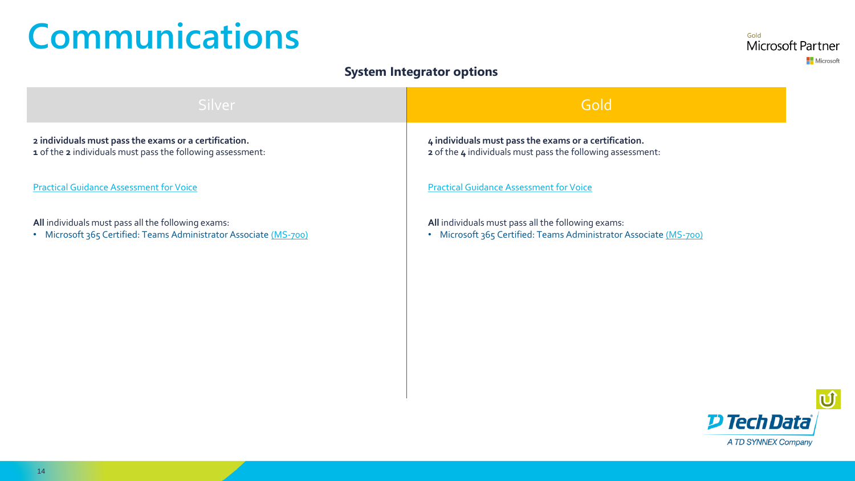### <span id="page-13-0"></span>**Communications**

#### **System Integrator options**

| Gold                                                                                                                    |
|-------------------------------------------------------------------------------------------------------------------------|
| 4 individuals must pass the exams or a certification.<br>2 of the 4 individuals must pass the following assessment:     |
| <b>Practical Guidance Assessment for Voice</b>                                                                          |
| All individuals must pass all the following exams:<br>• Microsoft 365 Certified: Teams Administrator Associate (MS-700) |
|                                                                                                                         |
|                                                                                                                         |
|                                                                                                                         |
|                                                                                                                         |



Gold

Microsoft Partner

Microsoft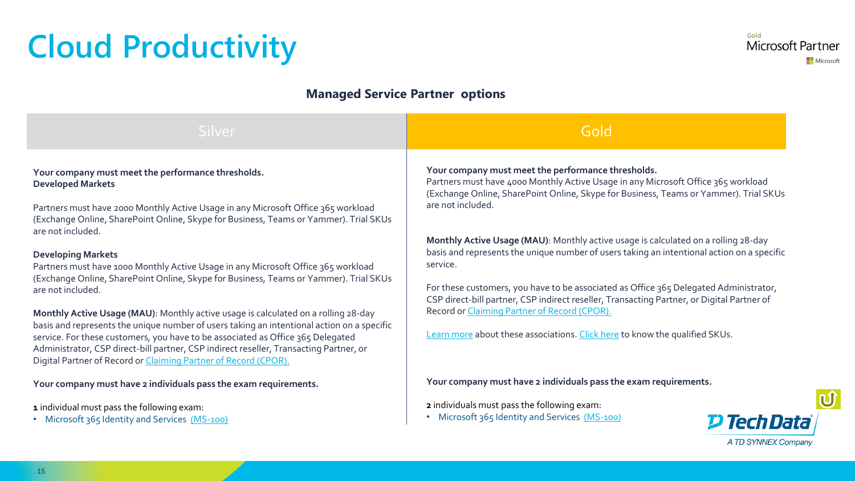### <span id="page-14-0"></span>**Cloud Productivity**

#### **Managed Service Partner options**

| Silver                                                                                                                                                                                                                                                                                                                                                                                                                                                                                                                                                                                                                                                                                                                                                                                                                                                                                                                                                        | Gold                                                                                                                                                                                                                                                                                                                                                                                                                                                                                                                                                                                                                                                                                                                                                                        |
|---------------------------------------------------------------------------------------------------------------------------------------------------------------------------------------------------------------------------------------------------------------------------------------------------------------------------------------------------------------------------------------------------------------------------------------------------------------------------------------------------------------------------------------------------------------------------------------------------------------------------------------------------------------------------------------------------------------------------------------------------------------------------------------------------------------------------------------------------------------------------------------------------------------------------------------------------------------|-----------------------------------------------------------------------------------------------------------------------------------------------------------------------------------------------------------------------------------------------------------------------------------------------------------------------------------------------------------------------------------------------------------------------------------------------------------------------------------------------------------------------------------------------------------------------------------------------------------------------------------------------------------------------------------------------------------------------------------------------------------------------------|
| Your company must meet the performance thresholds.<br><b>Developed Markets</b><br>Partners must have 2000 Monthly Active Usage in any Microsoft Office 365 workload<br>(Exchange Online, SharePoint Online, Skype for Business, Teams or Yammer). Trial SKUs<br>are not included.<br><b>Developing Markets</b><br>Partners must have 1000 Monthly Active Usage in any Microsoft Office 365 workload<br>(Exchange Online, SharePoint Online, Skype for Business, Teams or Yammer). Trial SKUs<br>are not included.<br>Monthly Active Usage (MAU): Monthly active usage is calculated on a rolling 28-day<br>basis and represents the unique number of users taking an intentional action on a specific<br>service. For these customers, you have to be associated as Office 365 Delegated<br>Administrator, CSP direct-bill partner, CSP indirect reseller, Transacting Partner, or<br>Digital Partner of Record or <i>Claiming Partner of Record (CPOR)</i> . | Your company must meet the performance thresholds.<br>Partners must have 4000 Monthly Active Usage in any Microsoft Office 365 workload<br>(Exchange Online, SharePoint Online, Skype for Business, Teams or Yammer). Trial SKUs<br>are not included.<br>Monthly Active Usage (MAU): Monthly active usage is calculated on a rolling 28-day<br>basis and represents the unique number of users taking an intentional action on a specific<br>service.<br>For these customers, you have to be associated as Office 365 Delegated Administrator,<br>CSP direct-bill partner, CSP indirect reseller, Transacting Partner, or Digital Partner of<br>Record or Claiming Partner of Record (CPOR).<br>Learn more about these associations. Click here to know the qualified SKUs. |
| Your company must have 2 individuals pass the exam requirements.<br>1 individual must pass the following exam:<br>• Microsoft 365 Identity and Services (MS-100)                                                                                                                                                                                                                                                                                                                                                                                                                                                                                                                                                                                                                                                                                                                                                                                              | Your company must have 2 individuals pass the exam requirements.<br>2 individuals must pass the following exam:<br>• Microsoft 365 Identity and Services (MS-100)<br><b>P Tech Data</b><br>A TD SYNNEX Company                                                                                                                                                                                                                                                                                                                                                                                                                                                                                                                                                              |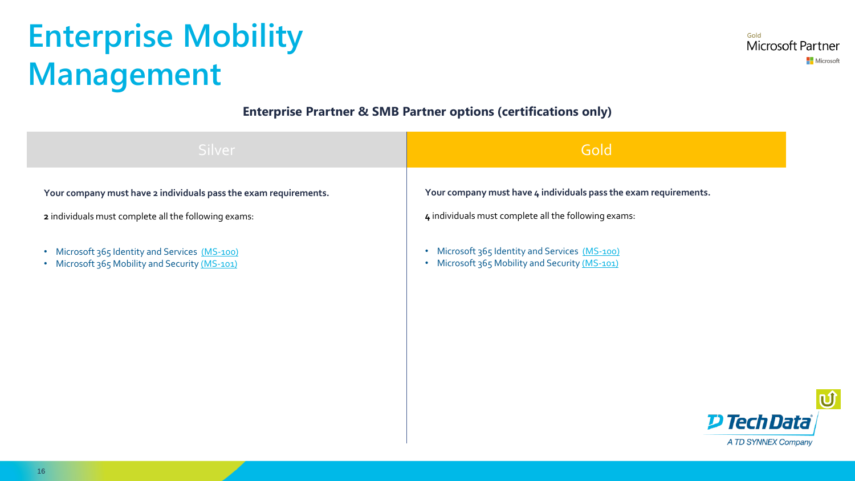### <span id="page-15-0"></span>**Enterprise Mobility Management**

Gold Microsoft Partner Microsoft

#### **Enterprise Prartner & SMB Partner options (certifications only)**

| Silver                                                                                                                   | Gold                                                                                                                     |
|--------------------------------------------------------------------------------------------------------------------------|--------------------------------------------------------------------------------------------------------------------------|
| Your company must have 2 individuals pass the exam requirements.<br>2 individuals must complete all the following exams: | Your company must have 4 individuals pass the exam requirements.<br>4 individuals must complete all the following exams: |
| Microsoft 365 Identity and Services (MS-100)<br>$\bullet$<br>Microsoft 365 Mobility and Security (MS-101)<br>$\bullet$   | Microsoft 365 Identity and Services (MS-100)<br>$\bullet$<br>• Microsoft 365 Mobility and Security (MS-101)              |
|                                                                                                                          |                                                                                                                          |
|                                                                                                                          |                                                                                                                          |

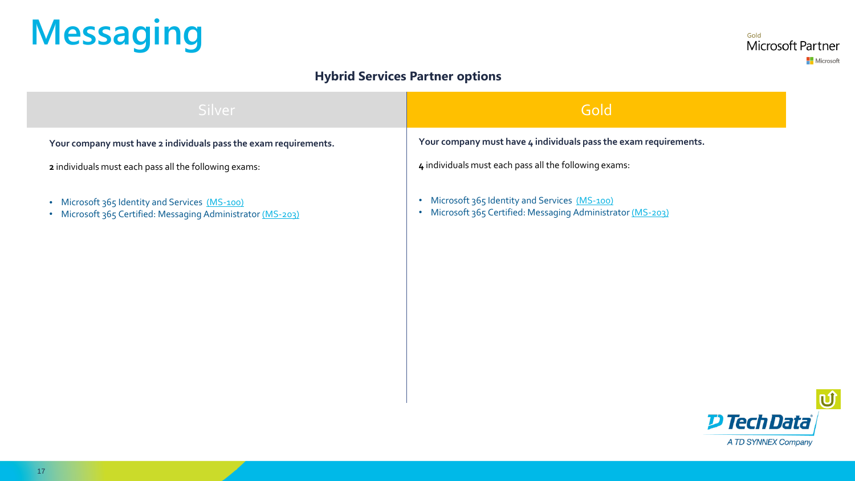# <span id="page-16-0"></span>**Messaging**

Gold Microsoft Partner Microsoft

#### **Hybrid Services Partner options**

| Silver                                                                                                        | Gold                                                                                                                                |
|---------------------------------------------------------------------------------------------------------------|-------------------------------------------------------------------------------------------------------------------------------------|
| Your company must have 2 individuals pass the exam requirements.                                              | Your company must have 4 individuals pass the exam requirements.                                                                    |
| 2 individuals must each pass all the following exams:                                                         | 4 individuals must each pass all the following exams:                                                                               |
| • Microsoft 365 Identity and Services (MS-100)<br>• Microsoft 365 Certified: Messaging Administrator (MS-203) | Microsoft 365 Identity and Services (MS-100)<br>$\bullet$<br>Microsoft 365 Certified: Messaging Administrator (MS-203)<br>$\bullet$ |
|                                                                                                               |                                                                                                                                     |
|                                                                                                               |                                                                                                                                     |
|                                                                                                               |                                                                                                                                     |
|                                                                                                               |                                                                                                                                     |
|                                                                                                               |                                                                                                                                     |

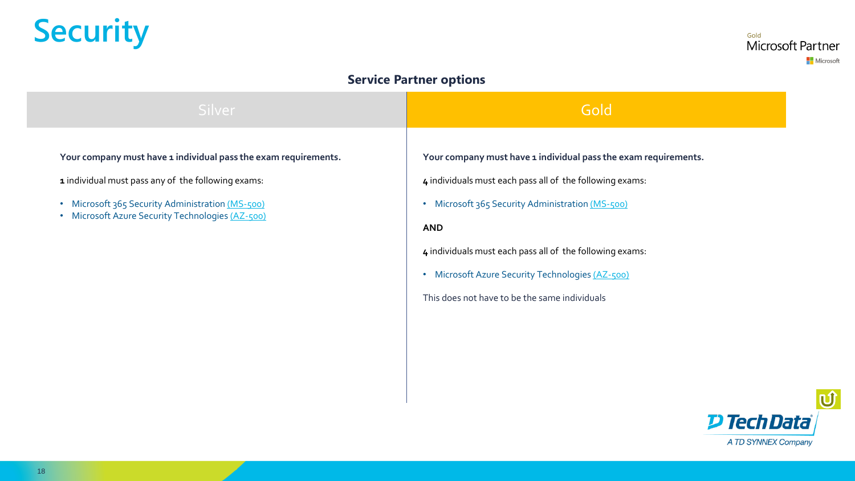### <span id="page-17-0"></span>**Security**

<sub>Gold</sub><br>Microsoft Partner Microsoft

#### **Service Partner options**

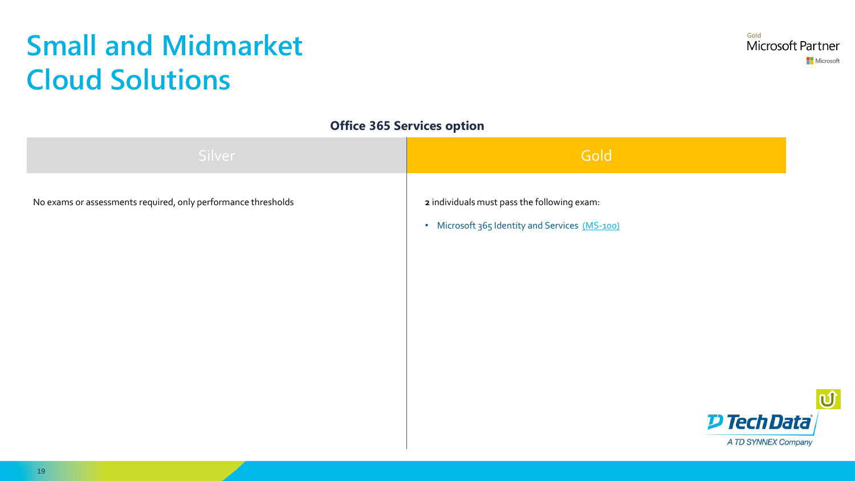### <span id="page-18-0"></span>**Small and Midmarket Cloud Solutions**

#### **Office 365 Services option**

| Silver                                                        | Gold                                           |
|---------------------------------------------------------------|------------------------------------------------|
| No exams or assessments required, only performance thresholds | 2 individuals must pass the following exam:    |
|                                                               | • Microsoft 365 Identity and Services (MS-100) |
|                                                               |                                                |
|                                                               |                                                |
|                                                               |                                                |
|                                                               |                                                |
|                                                               |                                                |
|                                                               | <b>D Tech Data</b>                             |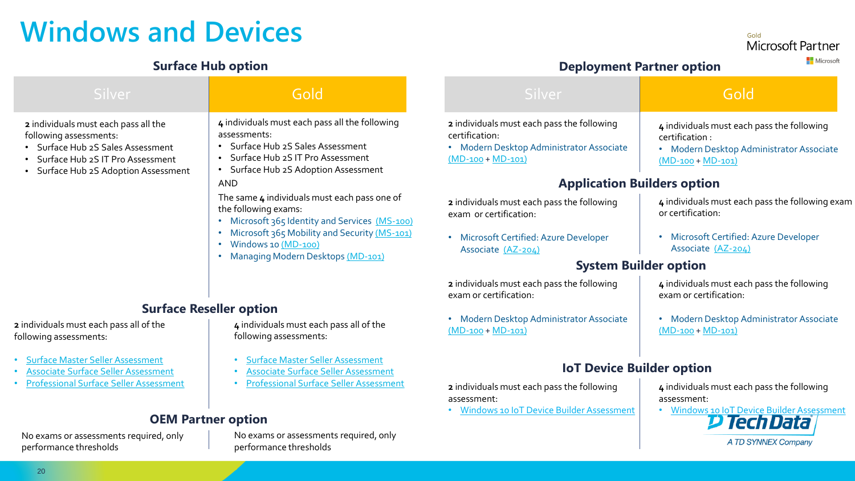### <span id="page-19-0"></span>**Windows and Devices**

#### **Surface Hub option**

Gold Microsoft Partner

#### **Deployment Partner option**

Microsoft

| Silver                                                                                                                                                                        | Gold                                                                                                                                                                        | Silver                                                                                                                        | Gold                                                                                                                           |
|-------------------------------------------------------------------------------------------------------------------------------------------------------------------------------|-----------------------------------------------------------------------------------------------------------------------------------------------------------------------------|-------------------------------------------------------------------------------------------------------------------------------|--------------------------------------------------------------------------------------------------------------------------------|
| 2 individuals must each pass all the<br>following assessments:<br>• Surface Hub 2S Sales Assessment<br>Surface Hub 2S IT Pro Assessment<br>Surface Hub 2S Adoption Assessment | 4 individuals must each pass all the following<br>assessments:<br>Surface Hub 2S Sales Assessment<br>Surface Hub 2S IT Pro Assessment<br>Surface Hub 2S Adoption Assessment | 2 individuals must each pass the following<br>certification:<br>• Modern Desktop Administrator Associate<br>$(MD-100+MD-101)$ | 4 individuals must each pass the following<br>certification :<br>• Modern Desktop Administrator Associate<br>$(MD-100+MD-101)$ |
|                                                                                                                                                                               | <b>AND</b>                                                                                                                                                                  | <b>Application Builders option</b>                                                                                            |                                                                                                                                |
|                                                                                                                                                                               | The same 4 individuals must each pass one of<br>the following exams:<br>Microsoft 365 Identity and Services (MS-100)                                                        | 2 individuals must each pass the following<br>exam or certification:                                                          | 4 individuals must each pass the following exam<br>or certification:                                                           |
|                                                                                                                                                                               | Microsoft 365 Mobility and Security (MS-101)<br>Windows 10 (MD-100)<br>Managing Modern Desktops (MD-101)                                                                    | • Microsoft Certified: Azure Developer<br>Associate (AZ-204)                                                                  | • Microsoft Certified: Azure Developer<br>Associate (AZ-204)                                                                   |
|                                                                                                                                                                               |                                                                                                                                                                             | <b>System Builder option</b>                                                                                                  |                                                                                                                                |
|                                                                                                                                                                               |                                                                                                                                                                             | 2 individuals must each pass the following<br>exam or certification:                                                          | 4 individuals must each pass the following<br>exam or certification:                                                           |
|                                                                                                                                                                               | <b>Surface Reseller option</b>                                                                                                                                              |                                                                                                                               |                                                                                                                                |
| 2 individuals must each pass all of the<br>following assessments:                                                                                                             | 4 individuals must each pass all of the<br>following assessments:                                                                                                           | • Modern Desktop Administrator Associate<br>$(MD-100 + MD-101)$                                                               | Modern Desktop Administrator Associate<br>$\bullet$<br>$(MD-100 + MD-101)$                                                     |
| <b>Surface Master Seller Assessment</b><br><b>Associate Surface Seller Assessment</b>                                                                                         | <b>Surface Master Seller Assessment</b><br><b>Associate Surface Seller Assessment</b>                                                                                       | <b>IoT Device Builder option</b>                                                                                              |                                                                                                                                |
| <b>Professional Surface Seller Assessment</b>                                                                                                                                 | <b>Professional Surface Seller Assessment</b>                                                                                                                               | 2 individuals must each pass the following<br>assessment:                                                                     | 4 individuals must each pass the following<br>assessment:                                                                      |
| <b>OEM Partner option</b>                                                                                                                                                     |                                                                                                                                                                             | · Windows 10 IoT Device Builder Assessment                                                                                    | • Windows 10 IoT Device Builder Assessment<br>D TechData                                                                       |
| No exams or assessments required, only<br>performance thresholds                                                                                                              | No exams or assessments required, only<br>performance thresholds                                                                                                            |                                                                                                                               | A TD SYNNEX Company                                                                                                            |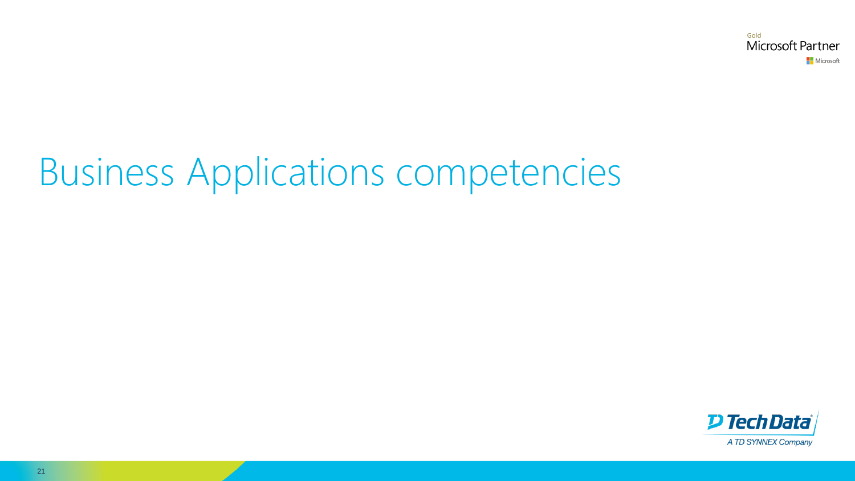Gold Microsoft Partner Microsoft

# Business Applications competencies

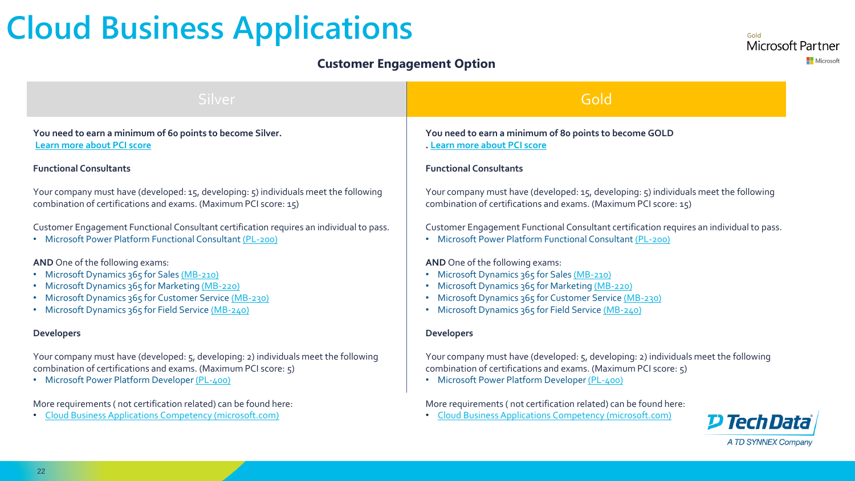### <span id="page-21-0"></span>**Cloud Business Applications**

#### **Customer Engagement Option**

Gold Microsoft Partner Microsoft

| Silver                                                                                                                            | Gold                                                                                                                                                    |  |
|-----------------------------------------------------------------------------------------------------------------------------------|---------------------------------------------------------------------------------------------------------------------------------------------------------|--|
| You need to earn a minimum of 60 points to become Silver.                                                                         | You need to earn a minimum of 8o points to become GOLD                                                                                                  |  |
| <b>Learn more about PCI score</b>                                                                                                 | . Learn more about PCI score                                                                                                                            |  |
| <b>Functional Consultants</b>                                                                                                     | <b>Functional Consultants</b>                                                                                                                           |  |
| Your company must have (developed: 15, developing: 5) individuals meet the following                                              | Your company must have (developed: 15, developing: 5) individuals meet the following                                                                    |  |
| combination of certifications and exams. (Maximum PCI score: 15)                                                                  | combination of certifications and exams. (Maximum PCI score: 15)                                                                                        |  |
| Customer Engagement Functional Consultant certification requires an individual to pass.                                           | Customer Engagement Functional Consultant certification requires an individual to pass.                                                                 |  |
| • Microsoft Power Platform Functional Consultant (PL-200)                                                                         | • Microsoft Power Platform Functional Consultant (PL-200)                                                                                               |  |
| AND One of the following exams:                                                                                                   | AND One of the following exams:                                                                                                                         |  |
| • Microsoft Dynamics 365 for Sales (MB-210)                                                                                       | • Microsoft Dynamics 365 for Sales (MB-210)                                                                                                             |  |
| • Microsoft Dynamics 365 for Marketing (MB-220)                                                                                   | Microsoft Dynamics 365 for Marketing (MB-220)                                                                                                           |  |
| • Microsoft Dynamics 365 for Customer Service (MB-230)                                                                            | • Microsoft Dynamics 365 for Customer Service (MB-230)                                                                                                  |  |
| • Microsoft Dynamics 365 for Field Service (MB-240)                                                                               | • Microsoft Dynamics 365 for Field Service (MB-240)                                                                                                     |  |
| <b>Developers</b>                                                                                                                 | <b>Developers</b>                                                                                                                                       |  |
| Your company must have (developed: 5, developing: 2) individuals meet the following                                               | Your company must have (developed: 5, developing: 2) individuals meet the following                                                                     |  |
| combination of certifications and exams. (Maximum PCI score: 5)                                                                   | combination of certifications and exams. (Maximum PCI score: 5)                                                                                         |  |
| • Microsoft Power Platform Developer (PL-400)                                                                                     | • Microsoft Power Platform Developer (PL-400)                                                                                                           |  |
| More requirements (not certification related) can be found here:<br><b>Cloud Business Applications Competency (microsoft.com)</b> | More requirements (not certification related) can be found here:<br><b>Cloud Business Applications Competency (microsoft.com)</b><br><b>D Tech Data</b> |  |
|                                                                                                                                   | <b>A TD SYNNEX Company</b>                                                                                                                              |  |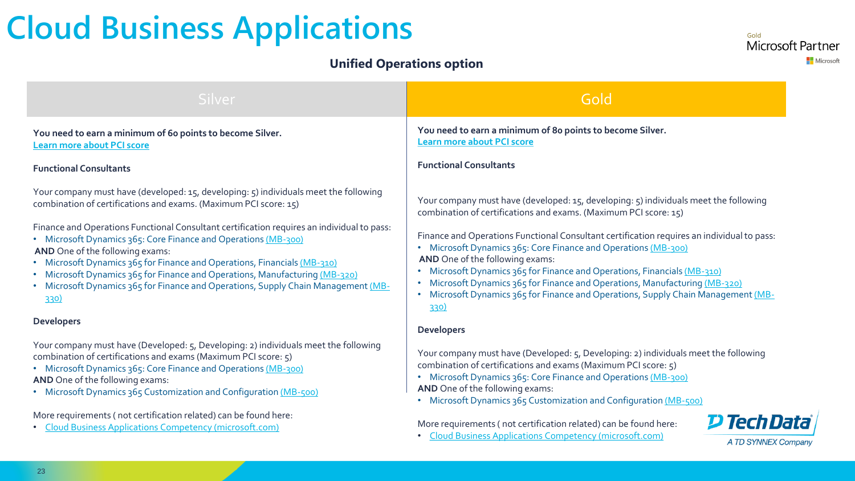### **Cloud Business Applications**

#### **Unified Operations option**

Gold Microsoft Partner Microsoft

| Silver                                                                                                                                                                                                                                                                                                                                                                                                                                                                                                                                                                                                                                   | Gold                                                                                                                                                                                                                                                                                                                                                                                                                                                                                                                                                                                                            |  |
|------------------------------------------------------------------------------------------------------------------------------------------------------------------------------------------------------------------------------------------------------------------------------------------------------------------------------------------------------------------------------------------------------------------------------------------------------------------------------------------------------------------------------------------------------------------------------------------------------------------------------------------|-----------------------------------------------------------------------------------------------------------------------------------------------------------------------------------------------------------------------------------------------------------------------------------------------------------------------------------------------------------------------------------------------------------------------------------------------------------------------------------------------------------------------------------------------------------------------------------------------------------------|--|
| You need to earn a minimum of 60 points to become Silver.<br><b>Learn more about PCI score</b>                                                                                                                                                                                                                                                                                                                                                                                                                                                                                                                                           | You need to earn a minimum of 80 points to become Silver.<br><b>Learn more about PCI score</b>                                                                                                                                                                                                                                                                                                                                                                                                                                                                                                                  |  |
| <b>Functional Consultants</b>                                                                                                                                                                                                                                                                                                                                                                                                                                                                                                                                                                                                            | <b>Functional Consultants</b>                                                                                                                                                                                                                                                                                                                                                                                                                                                                                                                                                                                   |  |
| Your company must have (developed: 15, developing: 5) individuals meet the following<br>combination of certifications and exams. (Maximum PCI score: 15)<br>Finance and Operations Functional Consultant certification requires an individual to pass:<br>• Microsoft Dynamics 365: Core Finance and Operations (MB-300)<br>AND One of the following exams:<br>• Microsoft Dynamics 365 for Finance and Operations, Financials (MB-310)<br>• Microsoft Dynamics 365 for Finance and Operations, Manufacturing (MB-320)<br>• Microsoft Dynamics 365 for Finance and Operations, Supply Chain Management (MB-<br>330)<br><b>Developers</b> | Your company must have (developed: 15, developing: 5) individuals meet the following<br>combination of certifications and exams. (Maximum PCI score: 15)<br>Finance and Operations Functional Consultant certification requires an individual to pass:<br>• Microsoft Dynamics 365: Core Finance and Operations (MB-300)<br>AND One of the following exams:<br>Microsoft Dynamics 365 for Finance and Operations, Financials (MB-310)<br>Microsoft Dynamics 365 for Finance and Operations, Manufacturing (MB-320)<br>• Microsoft Dynamics 365 for Finance and Operations, Supply Chain Management (MB-<br>330) |  |
| Your company must have (Developed: 5, Developing: 2) individuals meet the following<br>combination of certifications and exams (Maximum PCI score: 5)<br>• Microsoft Dynamics 365: Core Finance and Operations (MB-300)<br>AND One of the following exams:<br>• Microsoft Dynamics 365 Customization and Configuration (MB-500)                                                                                                                                                                                                                                                                                                          | <b>Developers</b><br>Your company must have (Developed: 5, Developing: 2) individuals meet the following<br>combination of certifications and exams (Maximum PCI score: 5)<br>• Microsoft Dynamics 365: Core Finance and Operations (MB-300)<br>AND One of the following exams:<br>• Microsoft Dynamics 365 Customization and Configuration (MB-500)                                                                                                                                                                                                                                                            |  |
| More requirements (not certification related) can be found here:<br>More requirements (not certification related) can be found here:<br><b>Cloud Business Applications Competency (microsoft.com)</b><br>• Cloud Business Applications Competency (microsoft.com)                                                                                                                                                                                                                                                                                                                                                                        |                                                                                                                                                                                                                                                                                                                                                                                                                                                                                                                                                                                                                 |  |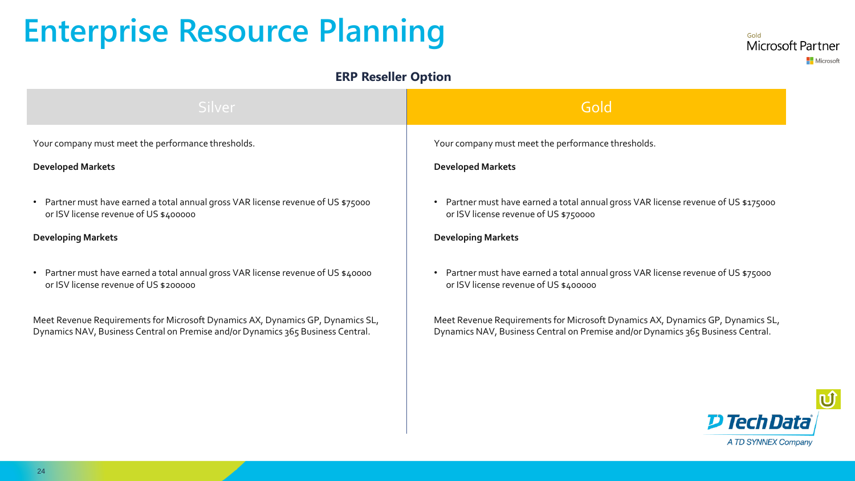### <span id="page-23-0"></span>**Enterprise Resource Planning**

#### **ERP Reseller Option**

| Silver                                                                            | Gold                                                                             |
|-----------------------------------------------------------------------------------|----------------------------------------------------------------------------------|
| Your company must meet the performance thresholds.                                | Your company must meet the performance thresholds.                               |
| <b>Developed Markets</b>                                                          | <b>Developed Markets</b>                                                         |
| • Partner must have earned a total annual gross VAR license revenue of US \$75000 | Partner must have earned a total annual gross VAR license revenue of US \$175000 |
| or ISV license revenue of US \$400000                                             | or ISV license revenue of US \$750000                                            |
| <b>Developing Markets</b>                                                         | <b>Developing Markets</b>                                                        |
| • Partner must have earned a total annual gross VAR license revenue of US \$40000 | Partner must have earned a total annual gross VAR license revenue of US \$75000  |
| or ISV license revenue of US \$200000                                             | or ISV license revenue of US \$400000                                            |
| Meet Revenue Requirements for Microsoft Dynamics AX, Dynamics GP, Dynamics SL,    | Meet Revenue Requirements for Microsoft Dynamics AX, Dynamics GP, Dynamics SL,   |
| Dynamics NAV, Business Central on Premise and/or Dynamics 365 Business Central.   | Dynamics NAV, Business Central on Premise and/or Dynamics 365 Business Central.  |



Gold

Microsoft Partner

Microsoft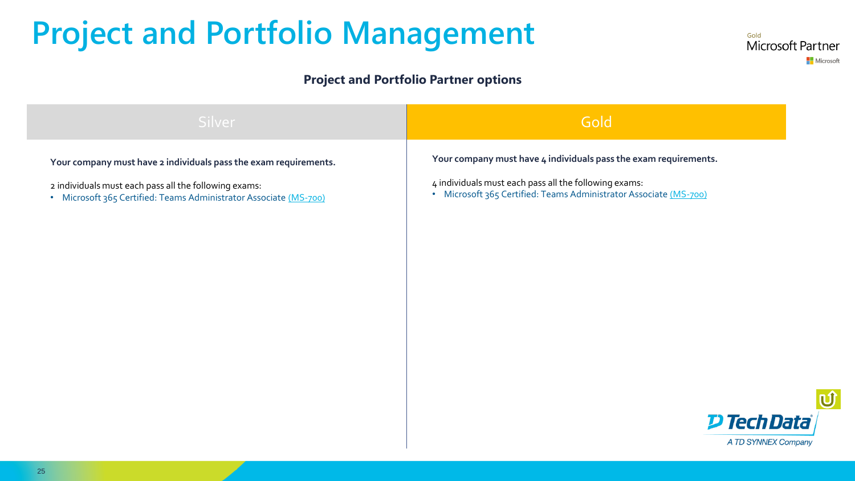### **Project and Portfolio Management**

#### **Project and Portfolio Partner options**





Gold

Microsoft Partner

**Nicrosoft**